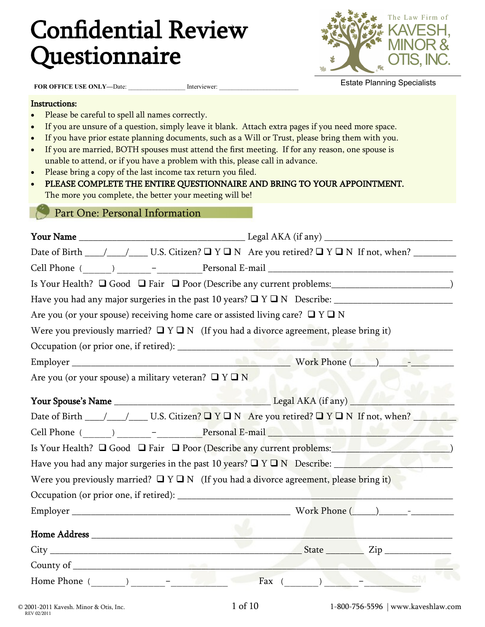# Confidential Review Questionnaire



**FOR OFFICE USE ONLY-Date:** \_\_\_\_\_\_\_\_\_\_\_\_\_\_\_\_\_\_\_ Interviewer:

Estate Planning Specialists

#### Instructions:

- Please be careful to spell all names correctly.
- If you are unsure of a question, simply leave it blank. Attach extra pages if you need more space.
- If you have prior estate planning documents, such as a Will or Trust, please bring them with you.
- If you are married, BOTH spouses must attend the first meeting. If for any reason, one spouse is unable to attend, or if you have a problem with this, please call in advance.
- Please bring a copy of the last income tax return you filed.
- PLEASE COMPLETE THE ENTIRE QUESTIONNAIRE AND BRING TO YOUR APPOINTMENT. The more you complete, the better your meeting will be!

#### Part One: Personal Information

| Are you (or your spouse) receiving home care or assisted living care? $\Box$ Y $\Box$ N |                                                                                                |  |  |  |  |  |  |  |
|-----------------------------------------------------------------------------------------|------------------------------------------------------------------------------------------------|--|--|--|--|--|--|--|
|                                                                                         | Were you previously married? $\Box Y \Box N$ (If you had a divorce agreement, please bring it) |  |  |  |  |  |  |  |
|                                                                                         |                                                                                                |  |  |  |  |  |  |  |
|                                                                                         |                                                                                                |  |  |  |  |  |  |  |
| Are you (or your spouse) a military veteran? $\Box$ Y $\Box$ N                          |                                                                                                |  |  |  |  |  |  |  |
|                                                                                         |                                                                                                |  |  |  |  |  |  |  |
|                                                                                         |                                                                                                |  |  |  |  |  |  |  |
|                                                                                         |                                                                                                |  |  |  |  |  |  |  |
|                                                                                         | Is Your Health? $\Box$ Good $\Box$ Fair $\Box$ Poor (Describe any current problems:            |  |  |  |  |  |  |  |
|                                                                                         | Have you had any major surgeries in the past 10 years? $\Box$ Y $\Box$ N Describe:             |  |  |  |  |  |  |  |
|                                                                                         | Were you previously married? $\Box Y \Box N$ (If you had a divorce agreement, please bring it) |  |  |  |  |  |  |  |
|                                                                                         |                                                                                                |  |  |  |  |  |  |  |
|                                                                                         | Work Phone $(\_\_)$ - $\_\_$                                                                   |  |  |  |  |  |  |  |
|                                                                                         |                                                                                                |  |  |  |  |  |  |  |
|                                                                                         |                                                                                                |  |  |  |  |  |  |  |
|                                                                                         |                                                                                                |  |  |  |  |  |  |  |
|                                                                                         |                                                                                                |  |  |  |  |  |  |  |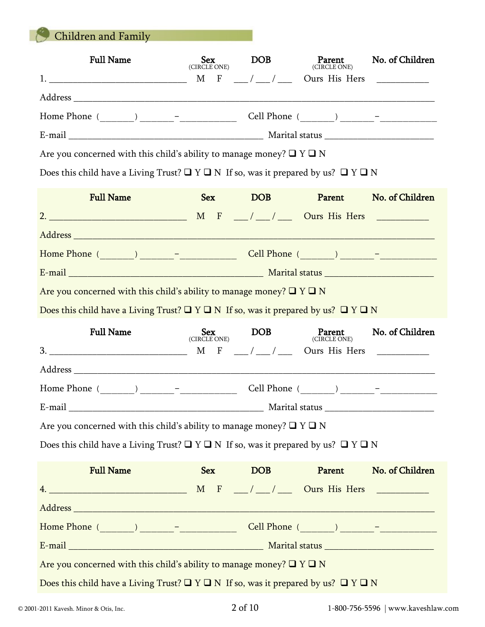Children and Family

K

| <b>Full Name</b>                                                                                       | <b>Sex</b><br>(CIRCLE ONE)                                                                | DOB              | Parent<br>(CIRCLE ONE) | No. of Children |  |  |  |  |
|--------------------------------------------------------------------------------------------------------|-------------------------------------------------------------------------------------------|------------------|------------------------|-----------------|--|--|--|--|
|                                                                                                        |                                                                                           |                  |                        |                 |  |  |  |  |
|                                                                                                        |                                                                                           |                  |                        |                 |  |  |  |  |
|                                                                                                        |                                                                                           |                  |                        |                 |  |  |  |  |
|                                                                                                        | Are you concerned with this child's ability to manage money? $\Box$ Y $\Box$ N            |                  |                        |                 |  |  |  |  |
| Does this child have a Living Trust? $\Box$ Y $\Box$ N If so, was it prepared by us? $\Box$ Y $\Box$ N |                                                                                           |                  |                        |                 |  |  |  |  |
| <b>Full Name</b>                                                                                       | <b>Sex</b>                                                                                | DOB <sub>1</sub> | Parent                 | No. of Children |  |  |  |  |
|                                                                                                        |                                                                                           |                  |                        |                 |  |  |  |  |
|                                                                                                        |                                                                                           |                  |                        |                 |  |  |  |  |
|                                                                                                        |                                                                                           |                  |                        |                 |  |  |  |  |
|                                                                                                        |                                                                                           |                  |                        |                 |  |  |  |  |
| Are you concerned with this child's ability to manage money? $\Box$ Y $\Box$ N                         |                                                                                           |                  |                        |                 |  |  |  |  |
| Does this child have a Living Trust? $\Box$ Y $\Box$ N If so, was it prepared by us? $\Box$ Y $\Box$ N |                                                                                           |                  |                        |                 |  |  |  |  |
|                                                                                                        |                                                                                           |                  | Parent                 |                 |  |  |  |  |
| <b>Full Name</b>                                                                                       |                                                                                           | DOB <sub>1</sub> | (CIRCLE ONE)           | No. of Children |  |  |  |  |
|                                                                                                        | $\begin{array}{c}\n\mathbf{J}\mathbf{c}\mathbf{X} \\ (\mathbf{CIRCLE\,ONE})\n\end{array}$ |                  |                        |                 |  |  |  |  |
|                                                                                                        |                                                                                           |                  |                        |                 |  |  |  |  |
| Home Phone $(\_ \_ \_ \_ \_ \_ \_ \_ \_ \_$                                                            |                                                                                           |                  |                        |                 |  |  |  |  |
|                                                                                                        |                                                                                           |                  |                        |                 |  |  |  |  |
| Are you concerned with this child's ability to manage money? $\Box$ Y $\Box$ N                         |                                                                                           |                  |                        |                 |  |  |  |  |
| Does this child have a Living Trust? $\Box$ Y $\Box$ N If so, was it prepared by us? $\Box$ Y $\Box$ N |                                                                                           |                  |                        |                 |  |  |  |  |
| <b>Full Name</b>                                                                                       |                                                                                           | Sex DOB          | Parent                 | No. of Children |  |  |  |  |
|                                                                                                        |                                                                                           |                  |                        |                 |  |  |  |  |
|                                                                                                        |                                                                                           |                  |                        |                 |  |  |  |  |
|                                                                                                        |                                                                                           |                  |                        |                 |  |  |  |  |
|                                                                                                        |                                                                                           |                  |                        |                 |  |  |  |  |
| Are you concerned with this child's ability to manage money? $\Box$ Y $\Box$ N                         |                                                                                           |                  |                        |                 |  |  |  |  |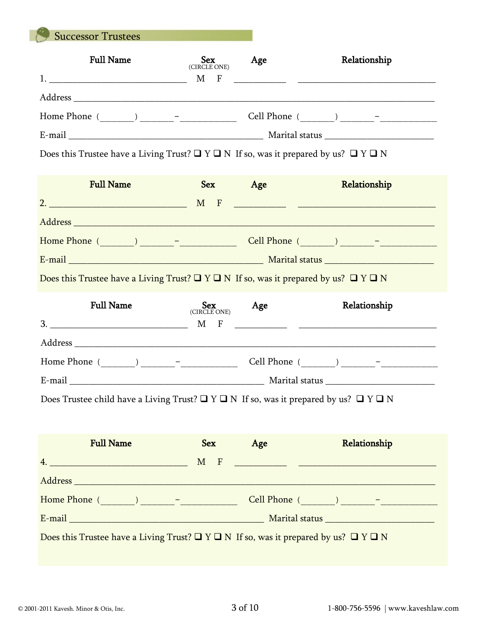Successor Trustees

| <b>Full Name</b>                         | <b>Sex</b><br>(CIRCLE ONE)  | Age        | Relationship                                                                                         |
|------------------------------------------|-----------------------------|------------|------------------------------------------------------------------------------------------------------|
|                                          | $\mathbf M$<br>$\mathbf{F}$ |            |                                                                                                      |
| Address                                  |                             |            |                                                                                                      |
| Home Phone (<br>$\overline{\phantom{m}}$ |                             | Cell Phone | $\qquad \qquad -$                                                                                    |
| E-mail                                   |                             |            | Marital status and the status of the status of the status of the status of the status of the status. |

Does this Trustee have a Living Trust?  $\Box$  <br>Y  $\Box$  <br>N If so, was it prepared by us?  $\Box$  <br>Y  $\Box$  <br>N

| <b>Full Name</b>                                                                                     | <b>Sex</b>          | Age                                                             | Relationship |
|------------------------------------------------------------------------------------------------------|---------------------|-----------------------------------------------------------------|--------------|
| $\overline{\mathbf{2.}}$                                                                             | $\overline{F}$<br>M | <u> 1980 - Johann Barn, mars an t-Amerikaansk kommunister (</u> |              |
|                                                                                                      |                     |                                                                 |              |
|                                                                                                      |                     |                                                                 |              |
|                                                                                                      |                     |                                                                 |              |
| Does this Trustee have a Living Trust? $\Box Y \Box N$ If so, was it prepared by us? $\Box Y \Box N$ |                     |                                                                 |              |

| <b>Full Name</b>                         | Sex<br>(CIRCLE ONE) | Age                                                                                                                   | Relationship                                                                                         |
|------------------------------------------|---------------------|-----------------------------------------------------------------------------------------------------------------------|------------------------------------------------------------------------------------------------------|
| 3.                                       | М<br>$\mathbf{F}$   | <u> 1980 - Jan Sarah Barat, masjid a shekara ta 1980 a shekara ta 1980 a shekara ta 1980 a shekara ta 1980 a shek</u> |                                                                                                      |
|                                          |                     |                                                                                                                       |                                                                                                      |
| Home Phone (<br>$\overline{\phantom{a}}$ |                     | Cell Phone (                                                                                                          | $\qquad \qquad$ ) $\qquad \qquad -$                                                                  |
| E-mail                                   |                     |                                                                                                                       | Marital status and the status of the status of the status of the status of the status of the status. |

Does Trustee child have a Living Trust?  $\Box$  <br>Y  $\Box$  <br>N  $\;$  If so, was it prepared by us?<br> $\; \Box$  <br>Y  $\Box$  <br>N

| <b>Full Name</b>                                                                                                                                                                                                              | <b>Sex</b> | Age                                                                                                                   | Relationship |  |  |
|-------------------------------------------------------------------------------------------------------------------------------------------------------------------------------------------------------------------------------|------------|-----------------------------------------------------------------------------------------------------------------------|--------------|--|--|
|                                                                                                                                                                                                                               | $- F$<br>M | <u> 1989 - Johann Barn, mars ann an t-Amhain an t-Amhain an t-Amhain an t-Amhain an t-Amhain an t-Amhain an t-Amh</u> |              |  |  |
|                                                                                                                                                                                                                               |            |                                                                                                                       |              |  |  |
| Home Phone ( and ) and the phone of the state of the state of the state of the state of the state of the state of the state of the state of the state of the state of the state of the state of the state of the state of the |            |                                                                                                                       |              |  |  |
| E-mail and the contract of the contract of the contract of the contract of the contract of the contract of the                                                                                                                |            |                                                                                                                       |              |  |  |
| Does this Trustee have a Living Trust? $\Box$ Y $\Box$ N If so, was it prepared by us? $\Box$ Y $\Box$ N                                                                                                                      |            |                                                                                                                       |              |  |  |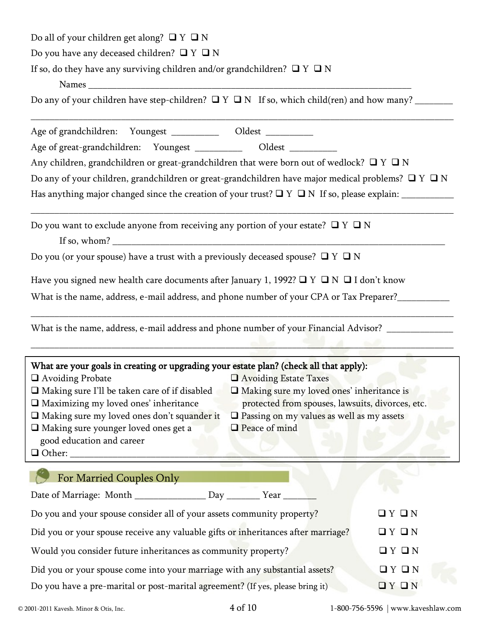| Do all of your children get along? $\Box$ Y $\Box$ N                                                                                                                                                                                                                                                                                                                                                                                                                                                                                                          |                   |  |  |  |  |  |  |
|---------------------------------------------------------------------------------------------------------------------------------------------------------------------------------------------------------------------------------------------------------------------------------------------------------------------------------------------------------------------------------------------------------------------------------------------------------------------------------------------------------------------------------------------------------------|-------------------|--|--|--|--|--|--|
| Do you have any deceased children? $\Box$ Y $\Box$ N                                                                                                                                                                                                                                                                                                                                                                                                                                                                                                          |                   |  |  |  |  |  |  |
| If so, do they have any surviving children and/or grandchildren? $\Box$ Y $\Box$ N                                                                                                                                                                                                                                                                                                                                                                                                                                                                            |                   |  |  |  |  |  |  |
|                                                                                                                                                                                                                                                                                                                                                                                                                                                                                                                                                               |                   |  |  |  |  |  |  |
| Do any of your children have step-children? $\Box$ Y $\Box$ N If so, which child(ren) and how many?                                                                                                                                                                                                                                                                                                                                                                                                                                                           |                   |  |  |  |  |  |  |
| Age of grandchildren: Youngest _____________ Oldest __________                                                                                                                                                                                                                                                                                                                                                                                                                                                                                                |                   |  |  |  |  |  |  |
| Age of great-grandchildren: Youngest ____________ Oldest _________                                                                                                                                                                                                                                                                                                                                                                                                                                                                                            |                   |  |  |  |  |  |  |
| Any children, grandchildren or great-grandchildren that were born out of wedlock? $\Box$ Y $\Box$ N                                                                                                                                                                                                                                                                                                                                                                                                                                                           |                   |  |  |  |  |  |  |
| Do any of your children, grandchildren or great-grandchildren have major medical problems? $\Box$ Y $\Box$ N                                                                                                                                                                                                                                                                                                                                                                                                                                                  |                   |  |  |  |  |  |  |
|                                                                                                                                                                                                                                                                                                                                                                                                                                                                                                                                                               |                   |  |  |  |  |  |  |
| Do you want to exclude anyone from receiving any portion of your estate? $\Box$ Y $\Box$ N                                                                                                                                                                                                                                                                                                                                                                                                                                                                    |                   |  |  |  |  |  |  |
| Do you (or your spouse) have a trust with a previously deceased spouse? $\Box$ Y $\Box$ N                                                                                                                                                                                                                                                                                                                                                                                                                                                                     |                   |  |  |  |  |  |  |
| Have you signed new health care documents after January 1, 1992? $\Box$ Y $\Box$ N $\Box$ I don't know                                                                                                                                                                                                                                                                                                                                                                                                                                                        |                   |  |  |  |  |  |  |
| What is the name, address, e-mail address, and phone number of your CPA or Tax Preparer?__________                                                                                                                                                                                                                                                                                                                                                                                                                                                            |                   |  |  |  |  |  |  |
| What is the name, address, e-mail address and phone number of your Financial Advisor? ______________                                                                                                                                                                                                                                                                                                                                                                                                                                                          |                   |  |  |  |  |  |  |
| What are your goals in creating or upgrading your estate plan? (check all that apply):<br>$\Box$ Avoiding Probate<br>Avoiding Estate Taxes<br>$\Box$ Making sure I'll be taken care of if disabled<br>$\Box$ Making sure my loved ones' inheritance is<br>$\square$ Maximizing my loved ones' inheritance<br>protected from spouses, lawsuits, divorces, etc.<br>□ Making sure my loved ones don't squander it<br>$\square$ Passing on my values as well as my assets<br>I Making sure younger loved ones get a<br>Peace of mind<br>good education and career |                   |  |  |  |  |  |  |
| For Married Couples Only                                                                                                                                                                                                                                                                                                                                                                                                                                                                                                                                      |                   |  |  |  |  |  |  |
| Date of Marriage: Month ________________ Day _______ Year _                                                                                                                                                                                                                                                                                                                                                                                                                                                                                                   |                   |  |  |  |  |  |  |
| Do you and your spouse consider all of your assets community property?                                                                                                                                                                                                                                                                                                                                                                                                                                                                                        | QYQN              |  |  |  |  |  |  |
| Did you or your spouse receive any valuable gifts or inheritances after marriage?                                                                                                                                                                                                                                                                                                                                                                                                                                                                             | QYQN              |  |  |  |  |  |  |
| Would you consider future inheritances as community property?                                                                                                                                                                                                                                                                                                                                                                                                                                                                                                 | QYQN              |  |  |  |  |  |  |
| Did you or your spouse come into your marriage with any substantial assets?                                                                                                                                                                                                                                                                                                                                                                                                                                                                                   | QYQN              |  |  |  |  |  |  |
| Do you have a pre-marital or post-marital agreement? (If yes, please bring it)                                                                                                                                                                                                                                                                                                                                                                                                                                                                                | $\Box$ Y $\Box$ N |  |  |  |  |  |  |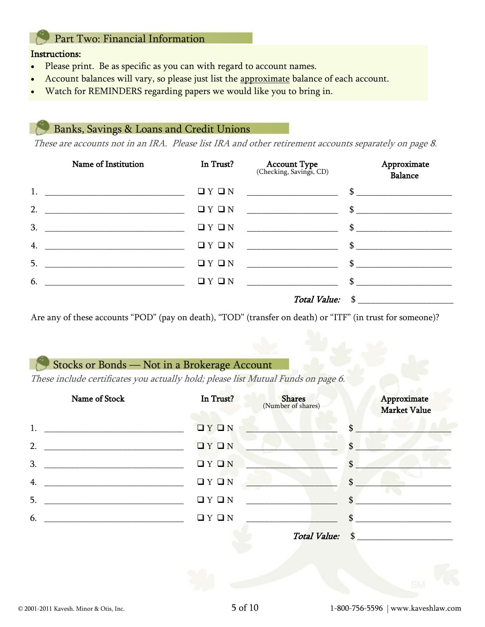## Part Two: Financial Information

#### Instructions:

- Please print. Be as specific as you can with regard to account names.
- Account balances will vary, so please just list the approximate balance of each account.
- Watch for REMINDERS regarding papers we would like you to bring in.

## Banks, Savings & Loans and Credit Unions

These are accounts not in an IRA. Please list IRA and other retirement accounts separately on page 8.

| Name of Institution                                                                                                        | In Trust? | <b>Account Type</b><br>(Checking, Savings, CD) | Approximate<br>Balance |
|----------------------------------------------------------------------------------------------------------------------------|-----------|------------------------------------------------|------------------------|
| $1.$ $\qquad \qquad$                                                                                                       | QYQN      |                                                |                        |
| 2.                                                                                                                         | QYQN      |                                                |                        |
| 3.                                                                                                                         | QYQN      |                                                |                        |
| 4.                                                                                                                         | QYQN      | $\mathbb{S}$                                   |                        |
| 5.<br><u> 1989 - Johann John Harry Harry Harry Harry Harry Harry Harry Harry Harry Harry Harry Harry Harry Harry Harry</u> | QYQN      | $\mathbb{S}$                                   |                        |
| 6.                                                                                                                         | QYQN      | $\mathbb{S}$                                   |                        |
|                                                                                                                            |           |                                                | Total Value: \$        |

Are any of these accounts "POD" (pay on death), "TOD" (transfer on death) or "ITF" (in trust for someone)?

# Stocks or Bonds — Not in a Brokerage Account

These include certificates you actually hold; please list Mutual Funds on page 6.

| Name of Stock | In Trust? | <b>Shares</b><br>(Number of shares) |               | Approximate<br><b>Market Value</b> |
|---------------|-----------|-------------------------------------|---------------|------------------------------------|
| 1.            | IY I N    |                                     | \$            |                                    |
| 2.            | IYIN      |                                     | \$            |                                    |
| 3.            | QYQN      |                                     | \$            |                                    |
| 4.            | QYQN      |                                     | $\mathbf{\$}$ |                                    |
| 5.            | QYQN      |                                     | \$            |                                    |
| 6.            | QYQN      |                                     |               |                                    |
|               |           | Total Value: \$                     |               |                                    |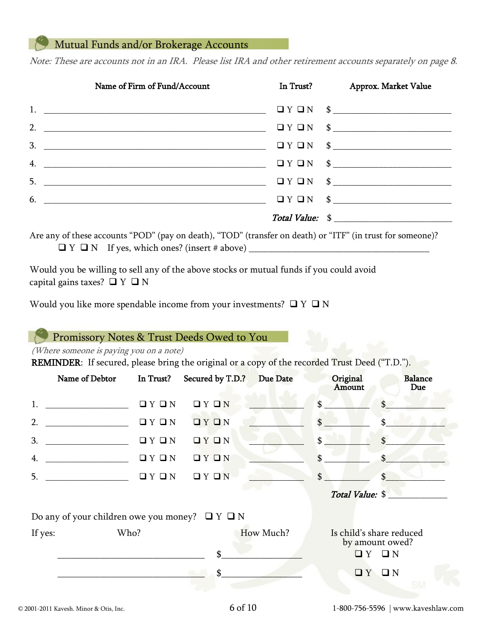# Mutual Funds and/or Brokerage Accounts

Note: These are accounts not in an IRA. Please list IRA and other retirement accounts separately on page 8.

| Name of Firm of Fund/Account  | In Trust? Approx. Market Value                    |
|-------------------------------|---------------------------------------------------|
|                               | $\Box Y \Box N \quad $ \underbrace{\quad \quad }$ |
|                               |                                                   |
|                               |                                                   |
|                               |                                                   |
|                               |                                                   |
| $6.$ $\overline{\phantom{a}}$ | $\Box$ $Y \Box N$ \$                              |
|                               | Total Value: \$                                   |

Are any of these accounts "POD" (pay on death), "TOD" (transfer on death) or "ITF" (in trust for someone)?  $\Box$   $Y \Box N$  If yes, which ones? (insert # above)

Would you be willing to sell any of the above stocks or mutual funds if you could avoid capital gains taxes?  $\Box$  Y  $\Box$  N

Would you like more spendable income from your investments?  $\Box$  Y  $\Box$  N

### Promissory Notes & Trust Deeds Owed to You

(Where someone is paying you on a note)

REMINDER: If secured, please bring the original or a copy of the recorded Trust Deed ("T.D.").

|         | Name of Debtor                                                                                                            | In Trust?         | Secured by T.D.? | Due Date  | Original<br>Amount | <b>Balance</b><br>Due                                            |
|---------|---------------------------------------------------------------------------------------------------------------------------|-------------------|------------------|-----------|--------------------|------------------------------------------------------------------|
| 1.      | <u> 2000 - Jan Alexander de Amerikaanse komme van die Amerikaanse komme van die voorbeeld van die voorbeeld van die v</u> | QYQN              | QYQN             |           | \$                 | $\mathbb{S}$                                                     |
| 2.      | <u> 1980 - Jan Barbara Barbara, manazarta </u>                                                                            | QYQN              | IY I N           |           | \$.                |                                                                  |
| 3.      | <u> 1989 - Johann Barbara, martxa al</u>                                                                                  | QYQN              | IY I N           |           | \$                 |                                                                  |
| 4.      |                                                                                                                           | QYQN              | IY I N           |           | \$                 |                                                                  |
| 5.      |                                                                                                                           | $\Box$ Y $\Box$ N | QYQN             |           | $\mathbf{\$}$      | \$                                                               |
|         |                                                                                                                           |                   |                  |           |                    | Total Value: \$                                                  |
|         | Do any of your children owe you money? $\Box$ Y $\Box$ N                                                                  |                   |                  |           |                    |                                                                  |
| If yes: | Who?                                                                                                                      |                   | \$               | How Much? |                    | Is child's share reduced<br>by amount owed?<br>$\Box Y$ $\Box N$ |
|         |                                                                                                                           |                   | \$               |           |                    | $\Box Y$ $\Box N$                                                |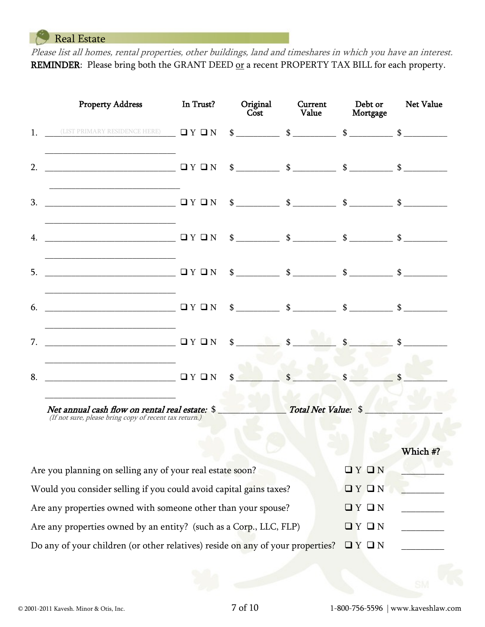Real Estate

Please list all homes, rental properties, other buildings, land and timeshares in which you have an interest. REMINDER: Please bring both the GRANT DEED or a recent PROPERTY TAX BILL for each property.

|                                                                                    | <b>Property Address</b>                                                                                  | In Trust? | Original<br>$\overline{\text{Cost}}$ | Current<br>Value                                                                                                                                                                                                                                                                                                    | Debt or<br>Mortgage | <b>Net Value</b> |  |  |
|------------------------------------------------------------------------------------|----------------------------------------------------------------------------------------------------------|-----------|--------------------------------------|---------------------------------------------------------------------------------------------------------------------------------------------------------------------------------------------------------------------------------------------------------------------------------------------------------------------|---------------------|------------------|--|--|
|                                                                                    | 1. (LIST PRIMARY RESIDENCE HERE) $\Box Y \Box N$                                                         |           |                                      | $\frac{1}{2}$ $\frac{1}{2}$ $\frac{1}{2}$ $\frac{1}{2}$ $\frac{1}{2}$ $\frac{1}{2}$ $\frac{1}{2}$ $\frac{1}{2}$ $\frac{1}{2}$ $\frac{1}{2}$ $\frac{1}{2}$ $\frac{1}{2}$ $\frac{1}{2}$ $\frac{1}{2}$ $\frac{1}{2}$ $\frac{1}{2}$ $\frac{1}{2}$ $\frac{1}{2}$ $\frac{1}{2}$ $\frac{1}{2}$ $\frac{1}{2}$ $\frac{1}{2}$ |                     |                  |  |  |
| 2.                                                                                 |                                                                                                          |           |                                      |                                                                                                                                                                                                                                                                                                                     |                     |                  |  |  |
| 3.                                                                                 | ———————————————— □ Y □ N                                                                                 |           |                                      | $\frac{1}{2}$ $\frac{1}{2}$ $\frac{1}{2}$ $\frac{1}{2}$ $\frac{1}{2}$ $\frac{1}{2}$ $\frac{1}{2}$ $\frac{1}{2}$ $\frac{1}{2}$ $\frac{1}{2}$ $\frac{1}{2}$ $\frac{1}{2}$ $\frac{1}{2}$ $\frac{1}{2}$ $\frac{1}{2}$ $\frac{1}{2}$ $\frac{1}{2}$ $\frac{1}{2}$ $\frac{1}{2}$ $\frac{1}{2}$ $\frac{1}{2}$ $\frac{1}{2}$ |                     |                  |  |  |
| 4.                                                                                 |                                                                                                          |           |                                      | $\frac{1}{2}$ $\frac{1}{2}$ $\frac{1}{2}$ $\frac{1}{2}$ $\frac{1}{2}$ $\frac{1}{2}$ $\frac{1}{2}$ $\frac{1}{2}$ $\frac{1}{2}$ $\frac{1}{2}$ $\frac{1}{2}$ $\frac{1}{2}$ $\frac{1}{2}$ $\frac{1}{2}$ $\frac{1}{2}$ $\frac{1}{2}$ $\frac{1}{2}$ $\frac{1}{2}$ $\frac{1}{2}$ $\frac{1}{2}$ $\frac{1}{2}$ $\frac{1}{2}$ |                     |                  |  |  |
| 5.                                                                                 |                                                                                                          |           |                                      |                                                                                                                                                                                                                                                                                                                     |                     |                  |  |  |
| 6.                                                                                 |                                                                                                          |           |                                      | $\frac{\text{S}}{\text{S}}$ $\frac{\text{S}}{\text{S}}$ $\frac{\text{S}}{\text{S}}$ $\frac{\text{S}}{\text{S}}$ $\frac{\text{S}}{\text{S}}$ $\frac{\text{S}}{\text{S}}$                                                                                                                                             |                     |                  |  |  |
|                                                                                    |                                                                                                          |           | $\sim$                               | $\boldsymbol{\hat{S}}$                                                                                                                                                                                                                                                                                              |                     |                  |  |  |
| 8.                                                                                 |                                                                                                          |           |                                      |                                                                                                                                                                                                                                                                                                                     |                     |                  |  |  |
|                                                                                    | Net annual cash flow on rental real estate: \$<br>(If not sure, please bring copy of recent tax return.) |           |                                      | Total Net Value: \$                                                                                                                                                                                                                                                                                                 |                     |                  |  |  |
|                                                                                    |                                                                                                          |           |                                      |                                                                                                                                                                                                                                                                                                                     |                     | Which #?         |  |  |
| $\Box$ $Y$ $\Box$ $N$<br>Are you planning on selling any of your real estate soon? |                                                                                                          |           |                                      |                                                                                                                                                                                                                                                                                                                     |                     |                  |  |  |
|                                                                                    | Would you consider selling if you could avoid capital gains taxes?                                       |           |                                      |                                                                                                                                                                                                                                                                                                                     | QYQN                |                  |  |  |
|                                                                                    | Are any properties owned with someone other than your spouse?                                            |           |                                      |                                                                                                                                                                                                                                                                                                                     | QYQN                |                  |  |  |
|                                                                                    | Are any properties owned by an entity? (such as a Corp., LLC, FLP)                                       |           |                                      |                                                                                                                                                                                                                                                                                                                     | QYQN                |                  |  |  |
|                                                                                    | Do any of your children (or other relatives) reside on any of your properties?<br>QYQN                   |           |                                      |                                                                                                                                                                                                                                                                                                                     |                     |                  |  |  |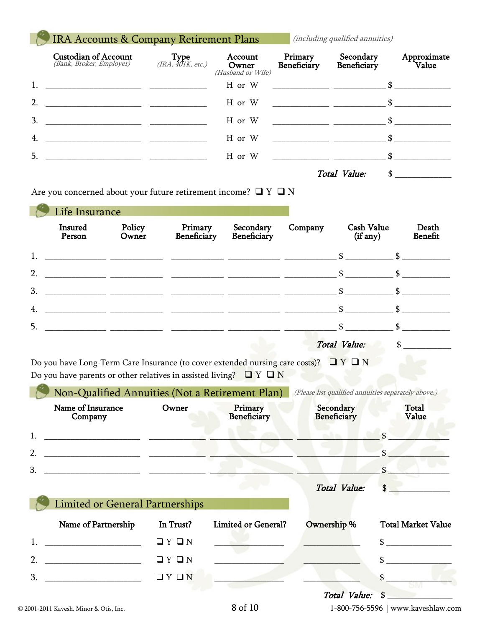# IRA Accounts & Company Retirement Plans (including qualified annuities)

|    | <b>Custodian of Account</b><br>(Bank, Broker, Employer)                                                                   | Type $(IRA, 401K, etc.)$ | Account<br>Owner<br>(Husband or Wife) | Primary<br>Beneficiary | Secondary<br>Beneficiary | Approximate<br>Value |
|----|---------------------------------------------------------------------------------------------------------------------------|--------------------------|---------------------------------------|------------------------|--------------------------|----------------------|
| 1. | <u> 1980 - Jan Jan James, martin de la provincia de la provincia de la provincia de la provincia de la provincia d</u>    |                          | H or W                                |                        |                          |                      |
| 2. | <u> 2000 - Jan James James Jan James James James James James James James James James James James James James James Ja</u> |                          | H or W                                |                        |                          |                      |
| 3. |                                                                                                                           |                          | H or W                                | $\mathbb{S}$           |                          |                      |
| 4. |                                                                                                                           |                          | H or W                                | $\mathbb{S}$           |                          |                      |
| 5. |                                                                                                                           |                          | H or W                                | $\mathbb{S}$           |                          |                      |
|    |                                                                                                                           |                          |                                       |                        | Total Value:             | \$                   |

|  | Are you concerned about your future retirement income? $\Box$ Y $\Box$ N |  |  |
|--|--------------------------------------------------------------------------|--|--|
|--|--------------------------------------------------------------------------|--|--|

|    | Life Insurance    |                 |                        |                          |         |                               |                         |
|----|-------------------|-----------------|------------------------|--------------------------|---------|-------------------------------|-------------------------|
|    | Insured<br>Person | Policy<br>Owner | Primary<br>Beneficiary | Secondary<br>Beneficiary | Company | <b>Cash Value</b><br>(if any) | Death<br><b>Benefit</b> |
| 1. |                   |                 |                        |                          |         | $\mathbf{\$}$                 |                         |
| 2. |                   |                 |                        |                          |         | $\mathbf{s}$                  |                         |
| 3. |                   |                 |                        |                          |         |                               |                         |
| 4. |                   |                 |                        |                          |         | \$                            |                         |
| 5. |                   |                 |                        |                          |         | $\mathbf{\$}$                 |                         |
|    |                   |                 |                        |                          |         | <b>Total Value:</b>           |                         |

| Do you have Long-Term Care Insurance (to cover extended nursing care costs)? $\Box$ Y $\Box$ N |  |
|------------------------------------------------------------------------------------------------|--|
| Do you have parents or other relatives in assisted living? $\Box Y \Box N$                     |  |

|                  | Non-Qualified Annuities (Not a Retirement Plan) |           |                            | (Please list qualified annuities separately above.) |                                                    |  |
|------------------|-------------------------------------------------|-----------|----------------------------|-----------------------------------------------------|----------------------------------------------------|--|
|                  | Name of Insurance<br>Company                    | Owner     | Primary<br>Beneficiary     | Secondary<br><b>Beneficiary</b>                     | <b>Total</b><br>Value                              |  |
| 1.               |                                                 |           |                            |                                                     |                                                    |  |
| $\overline{2}$ . |                                                 |           |                            |                                                     |                                                    |  |
| 3.               |                                                 |           |                            |                                                     |                                                    |  |
|                  |                                                 |           |                            | Total Value:                                        | $\mathbf{\hat{S}}$                                 |  |
|                  | <b>Limited or General Partnerships</b>          |           |                            |                                                     |                                                    |  |
|                  | Name of Partnership                             | In Trust? | <b>Limited or General?</b> | Ownership %                                         | <b>Total Market Value</b>                          |  |
| 1.               | <u> 1990 - Johann Barbara, martin a</u>         | QYQN      |                            |                                                     | $\sim$                                             |  |
| 2.               |                                                 | QYQN      |                            |                                                     | \$                                                 |  |
| 3.               |                                                 | QYQN      |                            |                                                     | $\sim$                                             |  |
|                  | © 2001-2011 Kavesh. Minor & Otis, Inc.          |           | 8 of 10                    | <b>Total Value:</b>                                 | $\mathbf{s}$<br>1-800-756-5596   www.kaveshlaw.com |  |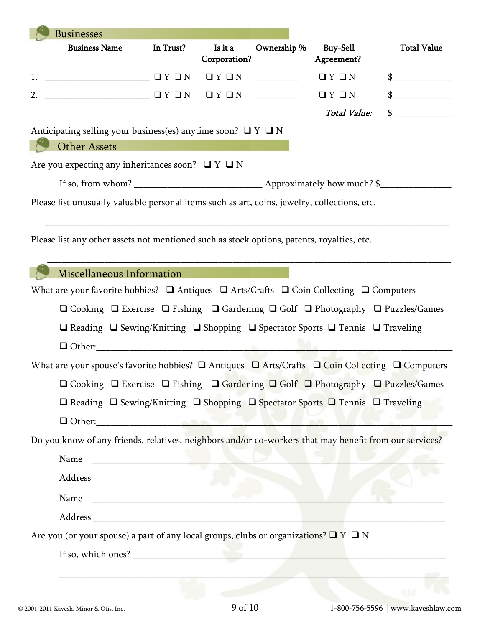| <b>Businesses</b>                                                                                                                                                                                                                                                                                               |           |                         |             |                               |                    |
|-----------------------------------------------------------------------------------------------------------------------------------------------------------------------------------------------------------------------------------------------------------------------------------------------------------------|-----------|-------------------------|-------------|-------------------------------|--------------------|
| <b>Business Name</b>                                                                                                                                                                                                                                                                                            | In Trust? | Is it a<br>Corporation? | Ownership % | <b>Buy-Sell</b><br>Agreement? | <b>Total Value</b> |
| 1. $\sqrt{2}$ $\sqrt{2}$ $\sqrt{2}$ $\sqrt{2}$ $\sqrt{2}$ $\sqrt{2}$ $\sqrt{2}$ $\sqrt{2}$ $\sqrt{2}$ $\sqrt{2}$ $\sqrt{2}$ $\sqrt{2}$ $\sqrt{2}$ $\sqrt{2}$ $\sqrt{2}$ $\sqrt{2}$ $\sqrt{2}$ $\sqrt{2}$ $\sqrt{2}$ $\sqrt{2}$ $\sqrt{2}$ $\sqrt{2}$ $\sqrt{2}$ $\sqrt{2}$ $\sqrt{2}$ $\sqrt{2}$ $\sqrt{2}$ $\$ |           | $\Box$ $Y$ $\Box$ $N$   |             | QYQN                          | $\mathbb{S}$       |
| 2. $\begin{array}{ccc}\n2. & \end{array}$                                                                                                                                                                                                                                                                       |           |                         |             | QYQN                          | $\frac{1}{2}$      |
|                                                                                                                                                                                                                                                                                                                 |           |                         |             | <b>Total Value:</b>           | $\sim$             |
| Anticipating selling your business(es) anytime soon? $\Box$ Y $\Box$ N                                                                                                                                                                                                                                          |           |                         |             |                               |                    |
| <b>Other Assets</b>                                                                                                                                                                                                                                                                                             |           |                         |             |                               |                    |
| Are you expecting any inheritances soon? $\Box$ Y $\Box$ N                                                                                                                                                                                                                                                      |           |                         |             |                               |                    |
|                                                                                                                                                                                                                                                                                                                 |           |                         |             |                               |                    |
| Please list unusually valuable personal items such as art, coins, jewelry, collections, etc.                                                                                                                                                                                                                    |           |                         |             |                               |                    |
|                                                                                                                                                                                                                                                                                                                 |           |                         |             |                               |                    |
| Please list any other assets not mentioned such as stock options, patents, royalties, etc.                                                                                                                                                                                                                      |           |                         |             |                               |                    |
|                                                                                                                                                                                                                                                                                                                 |           |                         |             |                               |                    |
| Miscellaneous Information                                                                                                                                                                                                                                                                                       |           |                         |             |                               |                    |
| What are your favorite hobbies? $\Box$ Antiques $\Box$ Arts/Crafts $\Box$ Coin Collecting $\Box$ Computers                                                                                                                                                                                                      |           |                         |             |                               |                    |
| $\Box$ Cooking $\Box$ Exercise $\Box$ Fishing $\Box$ Gardening $\Box$ Golf $\Box$ Photography $\Box$ Puzzles/Games                                                                                                                                                                                              |           |                         |             |                               |                    |
| $\Box$ Reading $\Box$ Sewing/Knitting $\Box$ Shopping $\Box$ Spectator Sports $\Box$ Tennis $\Box$ Traveling                                                                                                                                                                                                    |           |                         |             |                               |                    |
| $\Box$ Other:                                                                                                                                                                                                                                                                                                   |           |                         |             |                               |                    |
| What are your spouse's favorite hobbies? $\square$ Antiques $\square$ Arts/Crafts $\square$ Coin Collecting $\square$ Computers                                                                                                                                                                                 |           |                         |             |                               |                    |
| □ Cooking □ Exercise □ Fishing □ Gardening □ Golf □ Photography □ Puzzles/Games                                                                                                                                                                                                                                 |           |                         |             |                               |                    |
| □ Reading □ Sewing/Knitting □ Shopping □ Spectator Sports □ Tennis □ Traveling                                                                                                                                                                                                                                  |           |                         |             |                               |                    |
| Other: New York of the Contract of the Contract of the Contract of the Contract of the Contract of the Contract of the Contract of the Contract of the Contract of the Contract of the Contract of the Contract of the Contrac                                                                                  |           |                         |             |                               |                    |
| Do you know of any friends, relatives, neighbors and/or co-workers that may benefit from our services?                                                                                                                                                                                                          |           |                         |             |                               |                    |
| Name and the second contract of the second contract of the second contract of the second contract of the second contract of the second contract of the second contract of the second contract of the second contract of the se                                                                                  |           |                         |             |                               |                    |
|                                                                                                                                                                                                                                                                                                                 |           |                         |             |                               |                    |
| Name                                                                                                                                                                                                                                                                                                            |           |                         |             |                               |                    |
|                                                                                                                                                                                                                                                                                                                 |           |                         |             |                               |                    |
|                                                                                                                                                                                                                                                                                                                 |           |                         |             |                               |                    |
|                                                                                                                                                                                                                                                                                                                 |           |                         |             |                               |                    |
| Are you (or your spouse) a part of any local groups, clubs or organizations? $\Box$ $\Box$ $\Box$ N                                                                                                                                                                                                             |           |                         |             |                               |                    |